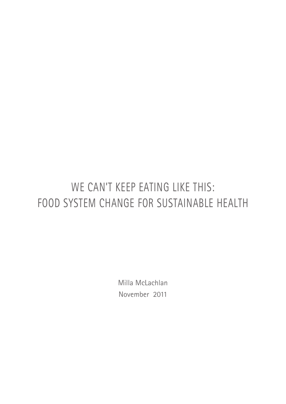# WE CAN'T KEEP EATING LIKE THIS: food system change for sustainable health

Milla McLachlan November 2011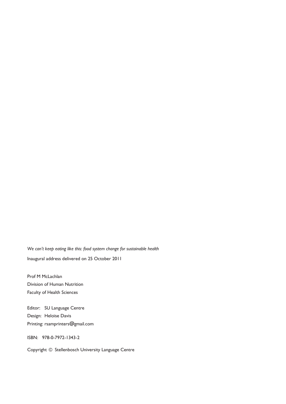*We can't keep eating like this: food system change for sustainable health* Inaugural address delivered on 25 October 2011

Prof M McLachlan Division of Human Nutrition Faculty of Health Sciences

Editor: SU Language Centre Design: Heloïse Davis Printing: rsamprinters@gmail.com

ISBN: 978-0-7972-1343-2

Copyright © Stellenbosch University Language Centre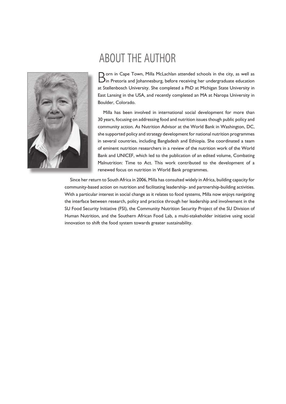

## ABOUT THE AUTHOR

O orn in Cape Town, Milla McLachlan attended schools in the city, as well as  $\bm{\lambda}$ in Pretoria and Johannesburg, before receiving her undergraduate education at Stellenbosch University. She completed a PhD at Michigan State University in East Lansing in the USA, and recently completed an MA at Naropa University in Boulder, Colorado.

Milla has been involved in international social development for more than 30 years, focusing on addressing food and nutrition issues though public policy and community action. As Nutrition Advisor at the World Bank in Washington, DC, she supported policy and strategy development for national nutrition programmes in several countries, including Bangladesh and Ethiopia. She coordinated a team of eminent nutrition researchers in a review of the nutrition work of the World Bank and UNICEF, which led to the publication of an edited volume, Combating Malnutrition: Time to Act. This work contributed to the development of a renewed focus on nutrition in World Bank programmes.

Since her return to South Africa in 2006, Milla has consulted widely in Africa, building capacity for community-based action on nutrition and facilitating leadership- and partnership-building activities. With a particular interest in social change as it relates to food systems, Milla now enjoys navigating the interface between research, policy and practice through her leadership and involvement in the SU Food Security Initiative (FSI), the Community Nutrition Security Project of the SU Division of Human Nutrition, and the Southern African Food Lab, a multi-stakeholder initiative using social innovation to shift the food system towards greater sustainability.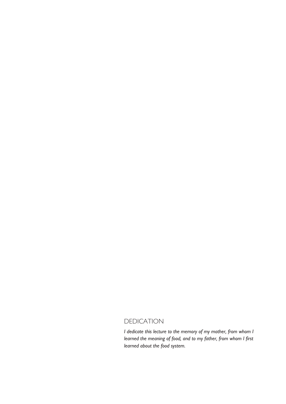## **DEDICATION**

*I dedicate this lecture to the memory of my mother, from whom I learned the meaning of food, and to my father, from whom I first learned about the food system.*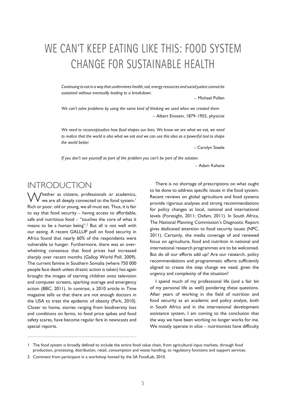## We can't keep eating like this: food system change for sustainable health

*Continuing to eat in a way that undermines health, soil, energy resources and social justice cannot be sustained without eventually leading to a breakdown.* 

*–* Michael Pollen

*We can't solve problems by using the same kind of thinking we used when we created them* – Albert Einstein, 1879–1955, physicist

*We need to reconceptualize how food shapes our lives. We know we are what we eat, we need to realize that the world is also what we eat and we can use this idea as a powerful tool to shape the world better.* 

– Carolyn Steele

*If you don't see yourself as part of the problem you can't be part of the solution.* 

– Adam Kahane

## **INTRODUCTION**

Whether as citizens, professionals or academics, we are all deeply connected to the food system.<sup>1</sup> Rich or poor, old or young, we all must eat. Thus, it is fair to say that food security – having access to affordable, safe and nutritious food – "touches the core of what it means to be a human being".<sup>2</sup> But all is not well with our eating. A recent GALLUP poll on food security in Africa found that nearly 60% of the respondents were vulnerable to hunger. Furthermore, there was an overwhelming consensus that food prices had increased sharply over recent months (Gallop World Poll, 2009). The current famine in Southern Somalia (where 750 000 people face death unless drastic action is taken) has again brought the images of starving children onto television and computer screens, sparking outrage and emergency action (BBC, 2011). In contrast, a 2010 article in Time magazine tells us that there are not enough doctors in the USA to treat the epidemic of obesity (Park, 2010). Closer to home, stories ranging from biodiversity loss and conditions on farms, to food price spikes and food safety scares, have become regular fare in newscasts and special reports.

There is no shortage of prescriptions on what ought to be done to address specific issues in the food system. Recent reviews on global agriculture and food systems provide rigorous analyses and strong recommendations for policy changes at local, national and international levels (Foresight, 2011; Oxfam, 2011). In South Africa, The National Planning Commission's Diagnostic Report gives dedicated attention to food security issues (NPC, 2011). Certainly, the media coverage of and renewed focus on agriculture, food and nutrition in national and international research programmes are to be welcomed. But do all our efforts add up? Are our research, policy recommendations and programmatic efforts sufficiently aligned to create the step change we need, given the urgency and complexity of the situation?

I spend much of my professional life (and a fair bit of my personal life as well) pondering these questions. After years of working in the field of nutrition and food security as an academic and policy analyst, both in South Africa and in the international development assistance system, I am coming to the conclusion that the way we have been working no longer works for me. We mostly operate in silos – nutritionists have difficulty

<sup>1</sup> The food system is broadly defined to include the entire food value chain, from agricultural input markets, through food production, processing, distribution, retail, consumption and waste handling, to regulatory functions and support services.

<sup>2</sup> Comment from participant in a workshop hosted by the SA FoodLab, 2010.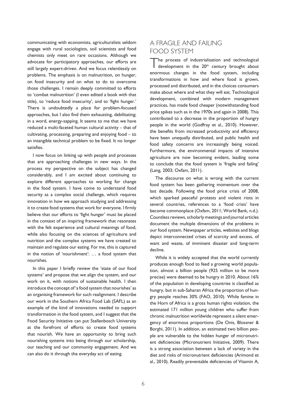communicating with economists, agriculturalists seldom engage with rural sociologists, soil scientists and food chemists only meet on rare occasions. Although we advocate for participatory approaches, our efforts are still largely expert-driven. And we focus relentlessly on problems. The emphasis is on malnutrition, on hunger, on food insecurity and on what to do to overcome those challenges. I remain deeply committed to efforts to 'combat malnutrition' (I even edited a book with that title), to 'reduce food insecurity', and to 'fight hunger.' There is undoubtedly a place for problem-focused approaches, but I also find them exhausting, debilitating; in a word, energy-sapping. It seems to me that we have reduced a multi-faceted human cultural activity – that of cultivating, processing, preparing and enjoying food – to an intangible technical problem to be fixed. It no longer satisfies.

I now focus on linking up with people and processes that are approaching challenges in new ways. In the process my perspective on the subject has changed considerably, and I am excited about continuing to explore different approaches to working for change in the food system. I have come to understand food security as a complex social challenge, which requires innovation in how we approach studying and addressing it to create food systems that work for everyone. I firmly believe that our efforts to 'fight hunger' must be placed in the context of an inspiring framework that resonates with the felt experience and cultural meanings of food, while also focusing on the sciences of agriculture and nutrition and the complex systems we have created to maintain and regulate our eating. For me, this is captured in the notion of 'nourishment': … a food system that nourishes.

In this paper I briefly review the 'state of our food systems' and propose that we align the system, and our work on it, with notions of sustainable health. I then introduce the concept of 'a food system that nourishes' as an organising framework for such realignment. I describe our work in the Southern Africa Food Lab (SAFL) as an example of the kind of innovations needed to support transformation in the food system, and I suggest that the Food Security Initiative can put Stellenbosch University at the forefront of efforts to create food systems that nourish. We have an opportunity to bring such nourishing systems into being through our scholarship, our teaching and our community engagement. And we can also do it through the everyday act of eating.

## A fragile and failing food system

The process of industrialisation and technological development in the 20<sup>th</sup> century brought about enormous changes in the food system, including transformations in how and where food is grown, processed and distributed, and in the choices consumers make about where and what they will eat. Technological development, combined with modern management practices, has made food cheaper (notwithstanding food price spikes such as in the 1970s and again in 2008). This contributed to a decrease in the proportion of hungry people in the world (Godfray et al., 2010). However, the benefits from increased productivity and efficiency have been unequally distributed, and public health and food safety concerns are increasingly being voiced. Furthermore, the environmental impacts of intensive agriculture are now becoming evident, leading some to conclude that the food system is 'fragile and failing' (Lang, 2003; Oxfam, 2011).

The discourse on what is wrong with the current food system has been gathering momentum over the last decade. Following the food price crisis of 2008, which sparked peaceful protests and violent riots in several countries, references to a 'food crisis' have become commonplace (Oxfam, 2011; World Bank, n.d.). Countless reviews, scholarly meetings and journal articles document the multiple dimensions of the problems in our food system. Newspaper articles, websites and blogs depict interconnected crises of scarcity and excess, of want and waste, of imminent disaster and long-term decline.

While it is widely accepted that the world currently produces enough food to feed a growing world population, almost a billion people (925 million to be more precise) were deemed to be hungry in 2010. About 16% of the population in developing countries is classified as hungry, but in sub-Saharan Africa the proportion of hungry people reaches 30% (FAO, 2010). While famine in the Horn of Africa is a gross human rights violation, the estimated 171 million young children who suffer from chronic malnutrition worldwide represent a silent emergency of enormous proportions (De Onis, Blossner & Borghi, 2011). In addition, an estimated two billion people are vulnerable to the hidden hunger of micronutrient deficiencies (Micronutrient Initiative, 2009). There is a strong association between a lack of variety in the diet and risks of micronutrient deficiencies (Arimond et al., 2010). Readily preventable deficiencies of Vitamin A,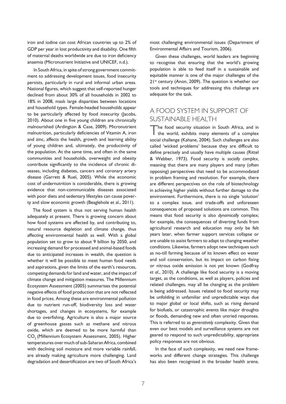iron and iodine can cost African countries up to 2% of GDP per year in lost productivity and disability. One fifth of maternal deaths worldwide are due to iron deficiency anaemia (Micronutrient Initiative and UNICEF, n.d.).

 In South Africa, in spite of strong government commitment to addressing development issues, food insecurity persists, particularly in rural and informal urban areas. National figures, which suggest that self-reported hunger declined from about 30% of all households in 2002 to 18% in 2008, mask large disparities between locations and household types. Female-headed households appear to be particularly affected by food insecurity (Jacobs, 2010). About one in five young children are chronically malnourished (Ardington & Case, 2009). Micronutrient malnutrition, particularly deficiencies of Vitamin A, iron and zinc, affects the health, growth and learning ability of young children and, ultimately, the productivity of the population. At the same time, and often in the same communities and households, overweight and obesity contribute significantly to the incidence of chronic diseases, including diabetes, cancers and coronary artery disease (Garrett & Ruel, 2005). While the economic cost of undernutrition is considerable, there is growing evidence that non-communicable diseases associated with poor diets and sedentary lifestyles can cause poverty and slow economic growth (Beaglehole et al., 2011).

The food system is thus not serving human health adequately at present. There is growing concern about how food systems are affected by, and contributing to, natural resource depletion and climate change, thus affecting environmental health as well. With a global population set to grow to about 9 billion by 2050, and increasing demand for processed and animal-based foods due to anticipated increases in wealth, the question is whether it will be possible to meet human food needs and aspirations, given the limits of the earth's resources, competing demands for land and water, and the impact of climate change and mitigation measures. The Millennium Ecosystem Assessment (2005) summarises the potential negative effects of food production that are not reflected in food prices. Among these are environmental pollution due to nutrient run-off, biodiversity loss and water shortages, and changes in ecosystems, for example due to overfishing. Agriculture is also a major source of greenhouse gasses such as methane and nitrous oxide, which are deemed to be more harmful than CO<sub>2</sub> (Millennium Ecosystem Assessment, 2005). Higher temperatures over much of sub-Saharan Africa, combined with declining soil moisture and more variable rainfall, are already making agriculture more challenging. Land degradation and desertification are two of South Africa's most challenging environmental issues (Department of Environmental Affairs and Tourism, 2006).

Given these challenges, world leaders are beginning to recognise that ensuring that the world's growing population is able to feed itself in a sustainable and equitable manner is one of the major challenges of the 21st century (Anon, 2009). The question is whether our tools and techniques for addressing this challenge are adequate for the task.

## A food system in support of sustainable health

The food security situation in South Africa, and in the world, exhibits many elements of a complex social challenge (Kahane, 2004). Such challenges are also called 'wicked problems' because they are difficult to define precisely and usually have multiple causes (Rittel & Webber, 1973). Food security is *socially complex*, meaning that there are many players and many (often opposing) perspectives that need to be accommodated in problem framing and resolution. For example, there are different perspectives on the role of biotechnology in achieving higher yields without further damage to the environment. Furthermore, there is no single 'solution' to a complex issue, and trade-offs and unforeseen consequences of proposed solutions are common. This means that food security is also *dynamically* complex; for example, the consequences of diverting funds from agricultural research and education may only be felt years later, when farmer support services collapse or are unable to assist farmers to adapt to changing weather conditions. Likewise, farmers adopt new techniques such as no-till farming because of its known effect on water and soil conservation, but its impact on carbon fixing or nitrous oxide emission is not yet known (Godfray *et al*., 2010). A challenge like food security is a moving target, as the conditions, as well as players, policies and related challenges, may all be changing as the problem is being addressed. Issues related to food security may be unfolding in unfamiliar and unpredictable ways due to major global or local shifts, such as rising demand for biofuels, or catastrophic events like major droughts or floods, demanding new and often untried responses. This is referred to as *generatively* complexity. Given that even our best models and surveillance systems are not geared to respond to such unpredictability, appropriate policy responses are not obvious.

In the face of such complexity, we need new frameworks and different change strategies. This challenge has also been recognised in the broader health arena.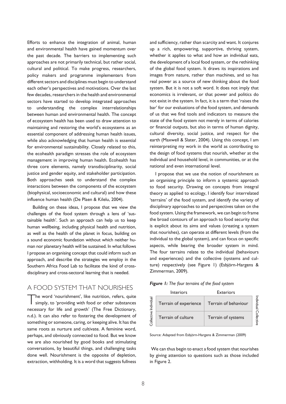Efforts to enhance the integration of animal, human and environmental health have gained momentum over the past decade. The barriers to implementing such approaches are not primarily technical, but rather social, cultural and political. To make progress, researchers, policy makers and programme implementers from different sectors and disciplines must begin to understand each other's perspectives and motivations. Over the last few decades, researchers in the health and environmental sectors have started to develop integrated approaches to understanding the complex interrelationships between human and environmental health. The concept of ecosystem health has been used to draw attention to maintaining and restoring the world's ecosystems as an essential component of addressing human health issues, while also acknowledging that human health is essential for environmental sustainability. Closely related to this, the ecohealth paradigm stresses the role of ecosystem management in improving human health. Ecohealth has three core elements, namely transdisciplinarity, social justice and gender equity, and stakeholder participation. Both approaches seek to understand the complex interactions between the components of the ecosystem (biophysical, socioeconomic and cultural) and how these influence human health (De Plaen & Kilelu, 2004).

Building on these ideas, I propose that we view the challenges of the food system through a lens of 'sustainable health'. Such an approach can help us to keep human wellbeing, including physical health and nutrition, as well as the health of the planet in focus, building on a sound economic foundation without which neither human nor planetary health will be sustained. In what follows I propose an organising concept that could inform such an approach, and describe the strategies we employ in the Southern Africa Food Lab to facilitate the kind of crossdisciplinary and cross-sectoral learning that is needed.

## A food system that nourishes

The word 'nourishment', like nutrition, refers, quite simply, to 'providing with food or other substances necessary for life and growth' (The Free Dictionary, n.d.). It can also refer to fostering the development of something or someone, caring, or keeping alive. It has the same roots as nurture and cultivate. A feminine word, perhaps, and obviously connected to food. But we know we are also nourished by good books and stimulating conversations, by beautiful things, and challenging tasks done well. Nourishment is the opposite of depletion, extraction, withholding. It is a word that suggests fullness and sufficiency, rather than scarcity and want. It conjures up a rich, empowering, supportive, thriving system, whether it applies to what and how an individual eats, the development of a local food system, or the rethinking of the global food system. It draws its inspirations and images from nature, rather than machines, and so has real power as a source of new thinking about the food system. But it is not a soft word. It does not imply that economics is irrelevant, or that power and politics do not exist in the system. In fact, it is a term that 'raises the bar' for our evaluations of the food system, and demands of us that we find tools and indicators to measure the state of the food system not merely in terms of calories or financial outputs, but also in terms of human dignity, cultural diversity, social justice, and respect for the earth (Maxwell & Slater, 2004). Using this concept, I am reinterpreting my work in the world as contributing to the design of food systems that nourish, whether at the individual and household level, in communities, or at the national and even international level.

I propose that we use the notion of nourishment as an organising principle to inform a systemic approach to food security. Drawing on concepts from integral theory as applied to ecology, I identify four interrelated 'terrains' of the food system, and identify the variety of disciplinary approaches to and perspectives taken on the food system. Using the framework, we can begin to frame the broad contours of an approach to food security that is explicit about its aims and values (creating a system that nourishes), can operate at different levels (from the individual to the global system), and can focus on specific aspects, while bearing the broader system in mind. The four terrains relate to the individual (behaviours and experiences) and the collective (systems and culture) respectively (see Figure 1) (Esbjörn-Hargens & Zimmerman, 2009).

| Figure 1: The four terrains of the food system |  |  |  |  |  |  |
|------------------------------------------------|--|--|--|--|--|--|
|------------------------------------------------|--|--|--|--|--|--|

|            | <b>Interiors</b>      | <b>Exteriors</b>     |   |
|------------|-----------------------|----------------------|---|
| Individual | Terrain of experience | Terrain of behaviour | 질 |
| Collective | Terrain of culture    | Terrain of systems   |   |

Source: Adapted from Esbjörn-Hargens & Zimmerman (2009)

We can thus begin to enact a food system that nourishes by giving attention to questions such as those included in Figure 2.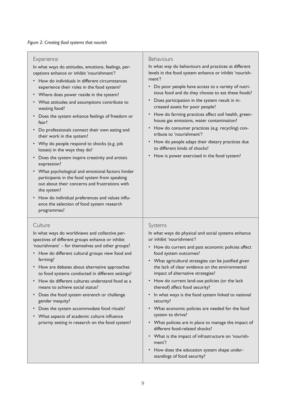#### **Experience**

In what ways do attitudes, emotions, feelings, perceptions enhance or inhibit 'nourishment'?

- • How do individuals in different circumstances experience their roles in the food system?
- Where does power reside in the system?
- • What attitudes and assumptions contribute to wasting food?
- Does the system enhance feelings of freedom or fear?
- • Do professionals connect their own eating and their work in the system?
- Why do people respond to shocks (e.g. job losses) in the ways they do?
- • Does the system inspire creativity and artistic expression?
- • What psychological and emotional factors hinder participants in the food system from speaking out about their concerns and frustrations with the system?
- How do individual preferences and values influence the selection of food system research programmes?

#### **Culture**

In what ways do worldviews and collective perspectives of different groups enhance or inhibit 'nourishment' – for themselves and other groups?

- • How do different cultural groups view food and farming?
- • How are debates about alternative approaches to food systems conducted in different settings?
- • How do different cultures understand food as a means to achieve social status?
- • Does the food system entrench or challenge gender inequity?
- • Does the system accommodate food rituals?
- • What aspects of academic culture influence priority setting in research on the food system?

#### **Behaviours**

In what way do behaviours and practices at different levels in the food system enhance or inhibit 'nourishment'?

- • Do poor people have access to a variety of nutritious food and do they choose to eat these foods?
- • Does participation in the system result in increased assets for poor people?
- How do farming practices affect soil health, greenhouse gas emissions, water contamination?
- • How do consumer practices (e.g. recycling) contribute to 'nourishment'?
- How do people adapt their dietary practices due to different kinds of shocks?
- How is power exercised in the food system?

#### Systems

In what ways do physical and social systems enhance or inhibit 'nourishment'?

- How do current and past economic policies affect food system outcomes?
- What agricultural strategies can be justified given the lack of clear evidence on the environmental impact of alternative strategies?
- How do current land-use policies (or the lack thereof) affect food security?
- In what ways is the food system linked to national security?
- • What economic policies are needed for the food system to thrive?
- What policies are in place to manage the impact of different food-related shocks?
- • What is the impact of infrastructure on 'nourishment'?
- How does the education system shape understandings of food security?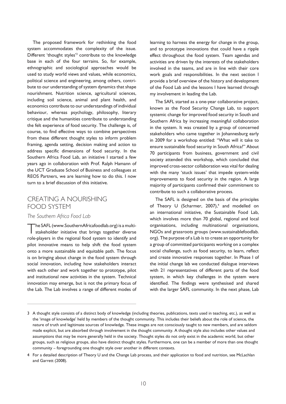The proposed framework for rethinking the food system accommodates the complexity of the issue. Different 'thought styles'<sup>3</sup> contribute to the knowledge base in each of the four terrains. So, for example, ethnographic and sociological approaches would be used to study world views and values, while economics, political science and engineering, among others, contribute to our understanding of system dynamics that shape nourishment. Nutrition science, agricultural sciences, including soil science, animal and plant health, and economics contribute to our understandings of individual behaviour, whereas psychology, philosophy, literary critique and the humanities contribute to understanding the felt experience of food security. The challenge is, of course, to find effective ways to combine perspectives from these different thought styles to inform problem framing, agenda setting, decision making and action to address specific dimensions of food security. In the Southern Africa Food Lab, an initiative I started a few years ago in collaboration with Prof. Ralph Hamann of the UCT Graduate School of Business and colleagues at REOS Partners, we are learning how to do this. I now turn to a brief discussion of this initiative.

## Creating a nourishing food system

#### *The Southern Africa Food Lab*

The SAFL (www.SouthernAfricafoodlab.org) is a multistakeholder initiative that brings together diverse role-players in the regional food system to identify and pilot innovative means to help shift the food system onto a more sustainable and equitable path. The focus is on bringing about change in the food system through social innovation, including how stakeholders interact with each other and work together to prototype, pilot and institutional new activities in the system. Technical innovation may emerge, but is not the primary focus of the Lab. The Lab involves a range of different modes of

learning to harness the energy for change in the group, and to prototype innovations that could have a ripple effect throughout the food system. Team agendas and activities are driven by the interests of the stakeholders involved in the teams, and are in line with their core work goals and responsibilities. In the next section I provide a brief overview of the history and development of the Food Lab and the lessons I have learned through my involvement in leading the Lab.

The SAFL started as a one-year collaborative project, known as the Food Security Change Lab, to support systemic change for improved food security in South and Southern Africa by increasing meaningful collaboration in the system. It was created by a group of concerned stakeholders who came together in Johannesburg early in 2009 for a workshop entitled: "What will it take to ensure sustainable food security in South Africa?" About 70 participants from business, government and civil society attended this workshop, which concluded that improved cross-sector collaboration was vital for dealing with the many 'stuck issues' that impede system-wide improvements to food security in the region. A large majority of participants confirmed their commitment to contribute to such a collaborative process.

The SAFL is designed on the basis of the principles of Theory U (Scharmer,  $2007$ ),<sup>4</sup> and modelled on an international initiative, the Sustainable Food Lab, which involves more than 70 global, regional and local organisations, including multinational organisations, NGOs and grassroots groups (www.sustainablefoodlab. org). The purpose of a Lab is to create an opportunity for a group of committed participants working on a complex social challenge, such as food security, to learn, reflect and create innovative responses together. In Phase I of the initial change lab we conducted dialogue interviews with 21 representatives of different parts of the food system, in which key challenges in the system were identified. The findings were synthesised and shared with the larger SAFL community. In the next phase, Lab

<sup>3</sup> A thought style consists of a distinct body of knowledge (including theories, publications, texts used in teaching, etc.), as well as the 'image of knowledge' held by members of the thought community. This includes their beliefs about the role of science, the nature of truth and legitimate sources of knowledge. These images are not consciously taught to new members, and are seldom made explicit, but are absorbed through involvement in the thought community. A thought style also includes other values and assumptions that may be more generally held in the society. Thought styles do not only exist in the academic world, but other groups, such as religious groups, also have distinct thought styles. Furthermore, one can be a member of more than one thought community – foregrounding one thought style over another in different contexts.

<sup>4</sup> For a detailed description of Theory U and the Change Lab process, and their application to food and nutrition, see McLachlan and Garrett (2008).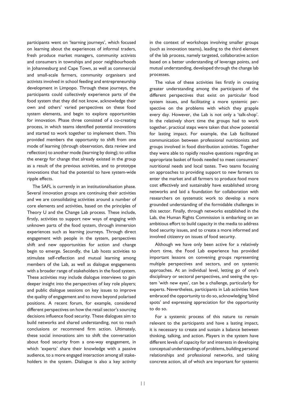participants went on 'learning journeys', which focused on learning about the experiences of informal traders, fresh produce market managers, community activists and consumers in townships and poor neighbourhoods in Johannesburg and Cape Town, as well as commercial and small-scale farmers, community organisers and activists involved in school feeding and entrepreneurship development in Limpopo. Through these journeys, the participants could collectively experience parts of the food system that they did not know, acknowledge their own and others' varied perspectives on these food system elements, and begin to explore opportunities for innovation. Phase three consisted of a co-creating process, in which teams identified potential innovations and started to work together to implement them. This provided members the opportunity to shift from one mode of learning (through observation, data review and reflection) to another mode (learning by doing); to utilise the energy for change that already existed in the group as a result of the previous activities, and to prototype innovations that had the potential to have system-wide ripple effects.

The SAFL is currently in an institutionalisation phase. Several innovation groups are continuing their activities and we are consolidating activities around a number of core elements and activities, based on the principles of Theory U and the Change Lab process. These include, firstly, activities to support new ways of engaging with unknown parts of the food system, through immersion experiences such as learning journeys. Through direct engagement with people in the system, perspectives shift and new opportunities for action and change begin to emerge. Secondly, the Lab hosts activities to stimulate self-reflection and mutual learning among members of the Lab, as well as dialogue engagements with a broader range of stakeholders in the food system. These activities may include dialogue interviews to gain deeper insight into the perspectives of key role players; and public dialogue sessions on key issues to improve the quality of engagement and to move beyond polarised positions. A recent forum, for example, considered different perspectives on how the retail sector's sourcing decisions influence food security. These dialogues aim to build networks and shared understanding, not to reach conclusions or recommend firm action. Ultimately, these social innovations aim to shift the conversation about food security from a one-way engagement, in which 'experts' share their knowledge with a passive audience, to a more engaged interaction among all stakeholders in the system. Dialogue is also a key activity in the context of workshops involving smaller groups (such as innovation teams), leading to the third element of the lab process, namely targeted, collaborative action based on a better understanding of leverage points, and mutual understanding, developed through the change lab processes.

The value of these activities lies firstly in creating greater understanding among the participants of the different perspectives that exist on particular food system issues, and facilitating a more systemic perspective on the problems with which they grapple every day. However, the Lab is not only a 'talk-shop'. In the relatively short time the groups had to work together, practical steps were taken that show potential for lasting impact. For example, the Lab facilitated communication between professional nutritionists and groups involved in food distribution activities. Together they were able to rapidly resolve questions regarding an appropriate basket of foods needed to meet consumers' nutritional needs and local tastes. Two teams focusing on approaches to providing support to new farmers to enter the market and all farmers to produce food more cost effectively and sustainably have established strong networks and laid a foundation for collaboration with researchers on systematic work to develop a more grounded understanding of the formidable challenges in this sector. Finally, through networks established in the Lab, the Human Rights Commission is embarking on an ambitious effort to build capacity in the media to address food security issues, and to create a more informed and involved citizenry on issues of food security.

Although we have only been active for a relatively short time, the Food Lab experience has provided important lessons on convening groups representing multiple perspectives and sectors, and on systemic approaches. At an individual level, letting go of one's disciplinary or sectoral perspectives, and seeing the system 'with new eyes', can be a challenge, particularly for experts. Nevertheless, participants in Lab activities have embraced the opportunity to do so, acknowledging 'blind spots' and expressing appreciation for the opportunity to do so.

For a systemic process of this nature to remain relevant to the participants and have a lasting impact, it is necessary to create and sustain a balance between thinking, talking, and action. Players in the system have different levels of capacity for and interests in developing conceptual understandings of problems, building personal relationships and professional networks, and taking concrete action, all of which are important for systemic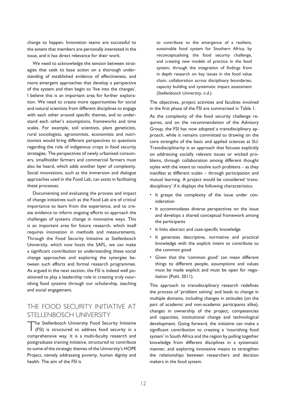change to happen. Innovation teams are successful to the extent that members are personally interested in the issue, and it has direct relevance for their work.

We need to acknowledge the tension between strategies that seek to base action on a thorough understanding of established evidence of effectiveness, and more emergent approaches that develop a perspective of the system and then begin to 'live into the changes'. I believe this is an important area for further exploration. We need to create more opportunities for social and natural scientists from different disciplines to engage with each other around specific themes, and to understand each other's assumptions, frameworks and time scales. For example, soil scientists, plant geneticists, rural sociologists, agronomists, economists and nutritionists would bring different perspectives to questions regarding the role of indigenous crops in food security strategies. The perspectives of newly urbanised consumers, smallholder farmers and commercial farmers must also be heard, which adds another layer of complexity. Social innovations, such as the immersion and dialogue approaches used in the Food Lab, can assist in facilitating these processes.

Documenting and evaluating the process and impact of change initiatives such as the Food Lab are of critical importance to learn from the experience, and to create evidence to inform ongoing efforts to approach the challenges of systems change in innovative ways. This is an important area for future research, which itself requires innovation in methods and measurements. Through the Food Security Initiative at Stellenbosch University, which now hosts the SAFL, we can make a significant contribution to understanding these social change approaches and exploring the synergies between such efforts and formal research programmes. As argued in the next section, the FSI is indeed well positioned to play a leadership role in creating truly nourishing food systems through our scholarship, teaching and social engagement.

## The Food Security Initiative at Stellenbosch University

The Stellenbosch University Food Security Initiative (FSI) is structured to address food security in a comprehensive way. It is a multi-faculty research and postgraduate training initiative, structured to contribute to some of the strategic themes of the University's HOPE Project, namely addressing poverty, human dignity and health. The aim of the FSI is

to contribute to the emergence of a resilient, sustainable food system for Southern Africa, by reconceptualising the food security challenge, and creating new models of practice in the food system, through the integration of findings from in depth research on key issues in the food value chain, collaboration across disciplinary boundaries, capacity building and systematic impact assessment (Stellenbosch University, n.d.).

The objectives, project activities and faculties involved in the first phase of the FSI are summarised in Table 1.

As the complexity of the food security challenge requires, and on the recommendation of the Advisory Group, the FSI has now adopted a transdisciplinary approach, while it remains committed to drawing on the core strengths of the basic and applied sciences at SU. Transdisciplinarity is an approach that focuses explicitly on addressing socially relevant issues or wicked problems, through collaboration among different thought styles with the intent to resolve such problems – as they manifest at different scales – through participation and mutual learning. A project would be considered 'transdisciplinary' if it displays the following characteristics:

- • It grasps the complexity of the issue under consideration
- • It accommodates diverse perspectives on the issue and develops a shared conceptual framework among the participants
- • It links abstract and case-specific knowledge
- • It generates descriptive, normative and practical knowledge with the explicit intent to contribute to the common good
- • Given that the 'common good' can mean different things to different people, assumptions and values must be made explicit and must be open for negotiation (Pohl, 2011).

This approach to transdisciplinary research redefines the process of 'problem solving' and leads to change in multiple domains, including changes in attitudes (on the part of academic and non-academic participants alike), changes in ownership of the project, competencies and capacities, institutional change and technological development. Going forward, the initiative can make a significant contribution to creating a 'nourishing food system' in South Africa and the region by pulling together knowledge from different disciplines in a systematic manner, and exploring innovative means to strengthen the relationships between researchers and decision makers in the food system.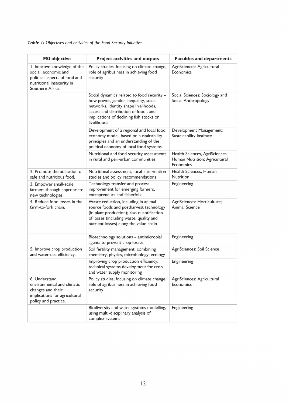### *Table 1: Objectives and activities of the Food Security Initiative*

| <b>FSI objective</b>                                                                                                                  | <b>Project activities and outputs</b>                                                                                                                                                                                          | <b>Faculties and departments</b>                                             |
|---------------------------------------------------------------------------------------------------------------------------------------|--------------------------------------------------------------------------------------------------------------------------------------------------------------------------------------------------------------------------------|------------------------------------------------------------------------------|
| I. Improve knowledge of the<br>social, economic and<br>political aspects of food and<br>nutritional insecurity in<br>Southern Africa. | Policy studies, focusing on climate change,<br>role of agribusiness in achieving food<br>security                                                                                                                              | AgriSciences: Agricultural<br>Economics                                      |
|                                                                                                                                       | Social dynamics related to food security -<br>how power, gender inequality, social<br>networks, identity shape livelihoods,<br>access and distribution of food, and<br>implications of declining fish stocks on<br>livelihoods | Social Sciences: Sociology and<br>Social Anthropology                        |
|                                                                                                                                       | Development of a regional and local food<br>economy model, based on sustainability<br>principles and an understanding of the<br>political economy of local food systems                                                        | Development Management:<br>Sustainability Institute                          |
|                                                                                                                                       | Nutritional and food security assessments<br>in rural and peri-urban communities                                                                                                                                               | Health Sciences, AgriSciences:<br>Human Nutrition; Agricultural<br>Economics |
| 2. Promote the utilisation of<br>safe and nutritious food.                                                                            | Nutritional assessment, local intervention<br>studies and policy recommendations                                                                                                                                               | Health Sciences, Human<br>Nutrition                                          |
| 3. Empower small-scale<br>farmers through appropriate<br>new technologies.                                                            | Technology transfer and process<br>improvement for emerging farmers,<br>entrepreneurs and fisherfolk                                                                                                                           | Engineering                                                                  |
| 4. Reduce food losses in the<br>farm-to-fork chain.                                                                                   | Waste reduction, including in animal<br>source foods and postharvest technology<br>(in plant production); also quantification<br>of losses (including waste, quality and<br>nutrient losses) along the value chain             | AgriSciences: Horticulture;<br><b>Animal Science</b>                         |
|                                                                                                                                       | Biotechnology solutions - antimicrobial<br>agents to prevent crop losses                                                                                                                                                       | Engineering                                                                  |
| 5. Improve crop production<br>and water-use efficiency.                                                                               | Soil fertility management, combining<br>chemistry, physics, microbiology, ecology                                                                                                                                              | AgriSciences: Soil Science                                                   |
|                                                                                                                                       | Improving crop production efficiency:<br>technical systems development for crop<br>and water supply monitoring                                                                                                                 | Engineering                                                                  |
| 6. Understand<br>environmental and climatic<br>changes and their<br>implications for agricultural<br>policy and practice.             | Policy studies, focusing on climate change,<br>role of agribusiness in achieving food<br>security                                                                                                                              | AgriSciences: Agricultural<br>Economics                                      |
|                                                                                                                                       | Biodiversity and water systems modelling,<br>using multi-disciplinary analysis of<br>complex systems                                                                                                                           | Engineering                                                                  |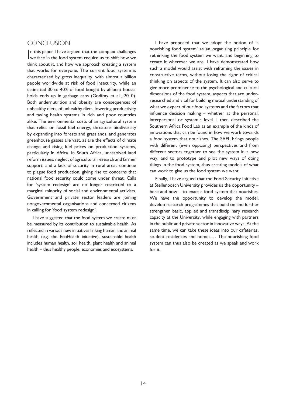#### Conclusion

In this paper I have argued that the complex challenges<br>we face in the food system require us to shift how we we face in the food system require us to shift how we think about it, and how we approach creating a system that works for everyone. The current food system is characterised by gross inequality, with almost a billion people worldwide at risk of food insecurity, while an estimated 30 to 40% of food bought by affluent households ends up in garbage cans (Godfray et al., 2010). Both undernutrition and obesity are consequences of unhealthy diets, of unhealthy diets, lowering productivity and taxing health systems in rich and poor countries alike. The environmental costs of an agricultural system that relies on fossil fuel energy, threatens biodiversity by expanding into forests and grasslands, and generates greenhouse gasses are vast, as are the effects of climate change and rising fuel prices on production systems, particularly in Africa. In South Africa, unresolved land reform issues, neglect of agricultural research and farmer support, and a lack of security in rural areas continue to plague food production, giving rise to concerns that national food security could come under threat. Calls for 'system redesign' are no longer restricted to a marginal minority of social and environmental activists. Government and private sector leaders are joining nongovernmental organisations and concerned citizens in calling for 'food system redesign'.

I have suggested that the food system we create must be measured by its contribution to sustainable health. As reflected in various new initiatives linking human and animal health (e.g. the EcoHealth initiative), sustainable health includes human health, soil health, plant health and animal health – thus healthy people, economies and ecosystems.

I have proposed that we adopt the notion of 'a nourishing food system' as an organising principle for rethinking the food system we want, and beginning to create it wherever we are. I have demonstrated how such a model would assist with reframing the issues in constructive terms, without losing the rigor of critical thinking on aspects of the system. It can also serve to give more prominence to the psychological and cultural dimensions of the food system, aspects that are underresearched and vital for building mutual understanding of what we expect of our food systems and the factors that influence decision making – whether at the personal, interpersonal or systemic level. I then described the Southern Africa Food Lab as an example of the kinds of innovations that can be found in how we work towards a food system that nourishes. The SAFL brings people with different (even opposing) perspectives and from different sectors together to see the system in a new way, and to prototype and pilot new ways of doing things in the food system, thus creating models of what can work to give us the food system we want.

Finally, I have argued that the Food Security Initiative at Stellenbosch University provides us the opportunity – here and now – to enact a food system that nourishes. We have the opportunity to develop the model, develop research programmes that build on and further strengthen basic, applied and transdisciplinary research capacity at the University, while engaging with partners in the public and private sector in innovative ways. At the same time, we can take these ideas into our cafeterias, student residences and homes.… The nourishing food system can thus also be created as we speak and work for it.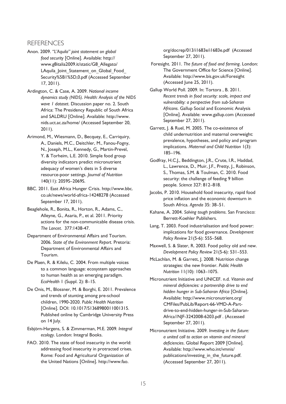#### **REFERENCES**

- Anon. 2009. *"L'Aquila" joint statement on global food security* [Online]. Available: http:// www.g8italia2009.it/static/G8\_Allegato/ LAquila Joint Statement on Global Food Security%5B1%5D,0.pdf (Accessed September 17, 2011).
- Ardington, C. & Case, A. 2009. *National income dynamics study (NIDS). Health: Analysis of the NIDS wave 1 dataset*. Discussion paper no. 2. South Africa: The Presidency Republic of South Africa and SALDRU [Online]. Available: http://www. nids.uct.ac.za/home/ (Accessed September 20, 2011).
- Arimond, M., Wiesmann, D., Becquey, E., Carriquiry, A., Daniels, M.C., Deitchler, M., Fanou-Fogny, N., Joseph, M.L., Kennedy, G., Martin-Prevel, Y. & Torheim, L.E. 2010. Simple food group diversity indicators predict micronutrient adequacy of women's diets in 5 diverse resource-poor settings. *Journal of Nutrition* 140(11): 2059S–2069S.
- BBC. 2011. East Africa Hunger Crisis. http://www.bbc. co.uk/news/world-africa-14248278 (Accessed September 17, 2011).
- Beaglehole, R., Bonita, R., Horton, R., Adams, C., Alleyne, G., Asaria, P., et al. 2011. Priority actions for the non-communicable disease crisis. *The Lancet*. 377:1438-47.
- Department of Environmental Affairs and Tourism. 2006. *State of the Environment Report*. Pretoria: Department of Environmental Affairs and Tourism.
- De Plaen, R. & Kilelu, C. 2004. From multiple voices to a common language: ecosystem approaches to human health as an emerging paradigm. *EcoHealth* 1 (Suppl. 2): 8–15.
- De Onis, M., Blossner, M. & Borghi, E. 2011. Prevalence and trends of stunting among pre-school children, 1990-2020. *Public Health Nutrition* [Online]. DOI: 10.1017/S1368980011001315. Published online by Cambridge University Press on 14 July.
- Esbjörn-Hargens, S. & Zimmerman, M.E. 2009*. Integral ecology*. London: Integral Books.
- FAO. 2010. The state of food insecurity in the world: addressing food insecurity in protracted crises. Rome: Food and Agricultural Organization of the United Nations [Online]. http://www.fao.

org/docrep/013/i1683e/i1683e.pdf (Accessed September 27, 2011).

- Foresight. 2011. *The future of food and farming*. London: The Government Office for Science [Online]. Available: http://www.bis.gov.uk/Foresight (Accessed June 25, 2011).
- Gallup World Poll. 2009. In: Tortora , B. 2011. *Recent trends in food security: scale, impact and vulnerability: a perspective from sub-Saharan Africans*. Gallup Social and Economic Analysis [Online]. Available: www.gallup.com (Accessed September 27, 2011).
- Garrett, J. & Ruel, M. 2005. The co-existence of child undernutrition and maternal overweight: prevalence, hypotheses, and policy and program implications. *Maternal and Child Nutrition* 1(3): 185–196.
- Godfray, H.C.J., Beddington, J.R., Crute, I.R., Haddad, L., Lawrence, D., Muir, J.F., Pretty, J., Robinson, S., Thomas, S.M. & Toulman, C. 2010. Food security: the challenge of feeding 9 billion people. *Science* 327: 812–818.
- Jacobs, P. 2010. Household food insecurity, rapid food price inflation and the economic downturn in South Africa. *Agenda* 35: 38–51.
- Kahane, A. 2004. *Solving tough problems*. San Francisco: Berrett-Koehler Publishers.
- Lang, T. 2003. Food industrialisation and food power: implications for food governance. *Development Policy Review* 21(5-6): 555–568.
- Maxwell, S. & Slater, R. 2003. Food policy old and new. *Development Policy Review* 21(5-6): 531–553.
- McLachlan, M. & Garrett, J. 2008. Nutrition change strategies: the new frontier. *Public Health Nutrition* 11(10): 1063–1075.
- Micronutrient Initiative and UNICEF. n.d. *Vitamin and mineral deficiencies: a partnership drive to end hidden hunger in Sub-Saharan Africa* [Online]. Available: http://www.micronutrient.org/ CMFiles/PubLib/Report-66-VMD-A-Partdrive-to-end-hidden-hunger-in-Sub-Saharan-Africa1NJF-3242008-6203.pdf . (Accessed September 27, 2011).
- Micronutrient Initiative. 2009. *Investing in the future: a united call to action on vitamin and mineral deficiencies*. Global Report 2009 [Online]. Available: http://www.who.int/vmnis/ publications/investing\_in\_the\_future.pdf. (Accessed September 27, 2011).